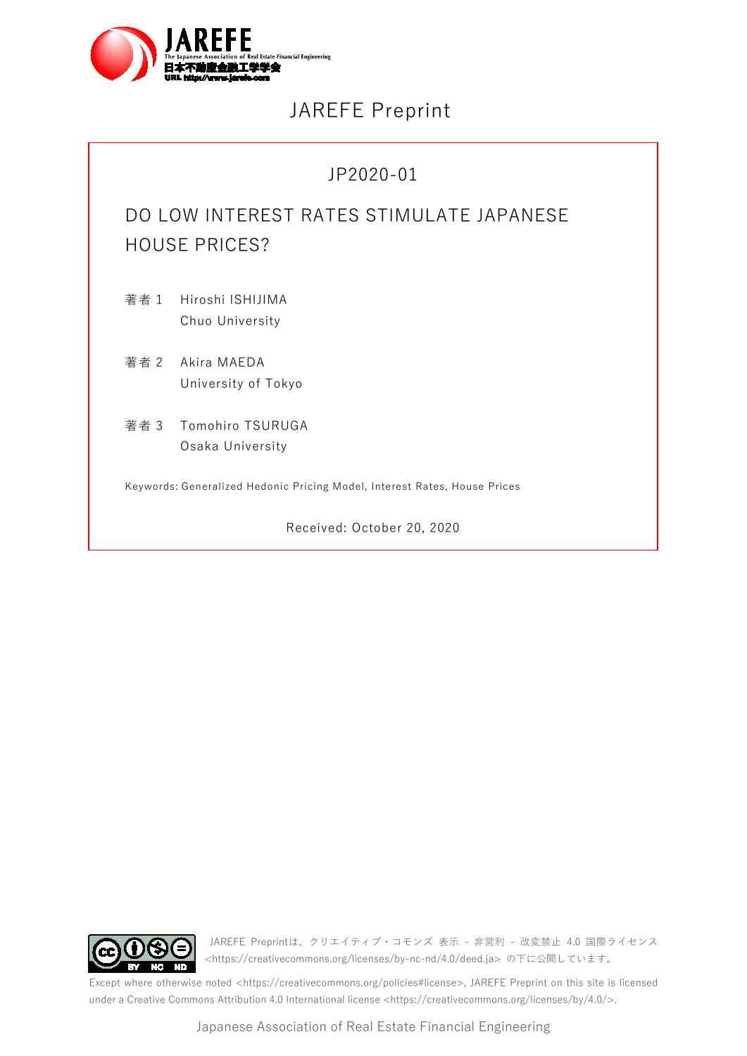

# JAREFE Preprint

# JP2020-01

# DO LOW INTEREST RATES STIMULATE JAPANESE HOUSE PRICES?

著者 1 Hiroshi ISHIJIMA Chuo University

著者 2 Akira MAEDA University of Tokyo

著者 3 Tomohiro TSURUGA Osaka University

Keywords: Generalized Hedonic Pricing Model, Interest Rates, House Prices

Received: October 20, 2020



JAREFE Preprintは、クリエイティブ・コモンズ 表示 - 非営利 - 改変禁止 4.0 国際ライセンス <https://creativecommons.org/licenses/by-nc-nd/4.0/deed.ja> の下に公開しています。

Except where otherwise noted <https://creativecommons.org/policies#license>, JAREFE Preprint on this site is licensed under a Creative Commons Attribution 4.0 International licens[e <https://creativecommons.org/licenses/by/4.0/>.](https://creativecommons.org/licenses/by-nc-nd/4.0/)

Japanese Association of Real Estate Financial Engineering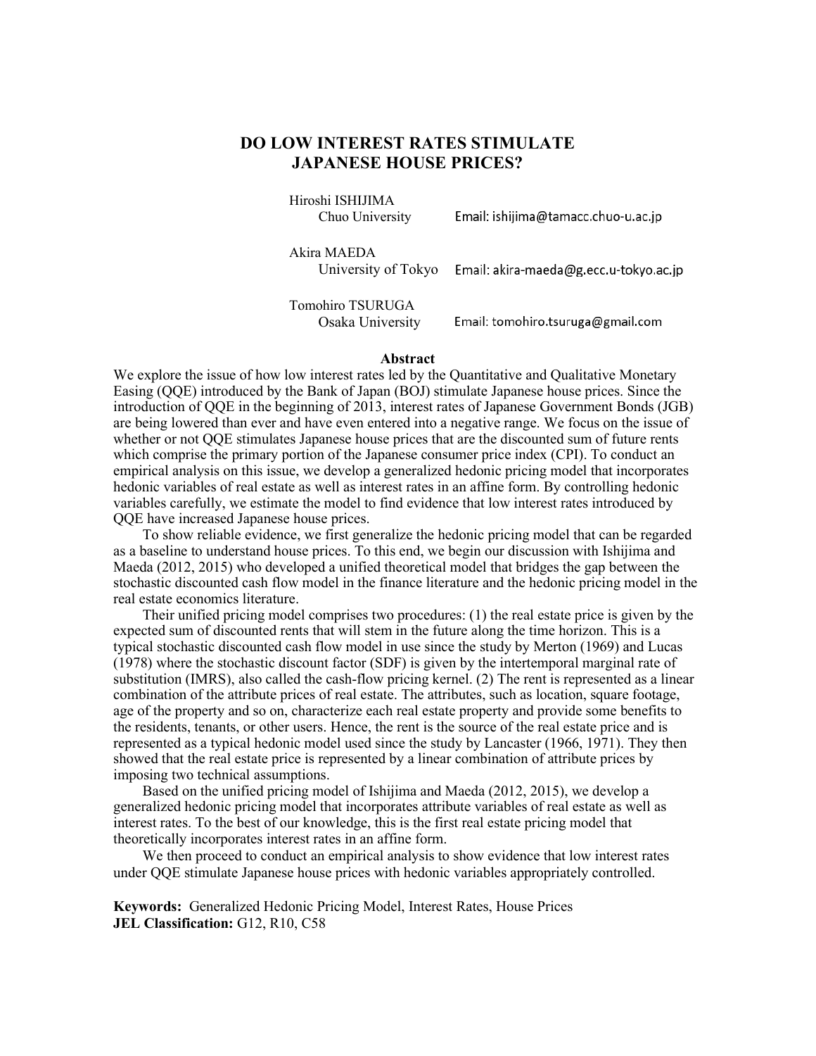# **DO LOW INTEREST RATES STIMULATE JAPANESE HOUSE PRICES?**

Hiroshi ISHIJIMA Chuo University

Email: ishijima@tamacc.chuo-u.ac.jp

Akira MAEDA

University of Tokyo Email: akira-maeda@g.ecc.u-tokyo.ac.jp

Tomohiro TSURUGA Osaka University

Email: tomohiro.tsuruga@gmail.com

#### **Abstract**

We explore the issue of how low interest rates led by the Quantitative and Qualitative Monetary Easing (QQE) introduced by the Bank of Japan (BOJ) stimulate Japanese house prices. Since the introduction of QQE in the beginning of 2013, interest rates of Japanese Government Bonds (JGB) are being lowered than ever and have even entered into a negative range. We focus on the issue of whether or not QQE stimulates Japanese house prices that are the discounted sum of future rents which comprise the primary portion of the Japanese consumer price index (CPI). To conduct an empirical analysis on this issue, we develop a generalized hedonic pricing model that incorporates hedonic variables of real estate as well as interest rates in an affine form. By controlling hedonic variables carefully, we estimate the model to find evidence that low interest rates introduced by QQE have increased Japanese house prices.

To show reliable evidence, we first generalize the hedonic pricing model that can be regarded as a baseline to understand house prices. To this end, we begin our discussion with Ishijima and Maeda (2012, 2015) who developed a unified theoretical model that bridges the gap between the stochastic discounted cash flow model in the finance literature and the hedonic pricing model in the real estate economics literature.

Their unified pricing model comprises two procedures: (1) the real estate price is given by the expected sum of discounted rents that will stem in the future along the time horizon. This is a typical stochastic discounted cash flow model in use since the study by Merton (1969) and Lucas (1978) where the stochastic discount factor (SDF) is given by the intertemporal marginal rate of substitution (IMRS), also called the cash-flow pricing kernel. (2) The rent is represented as a linear combination of the attribute prices of real estate. The attributes, such as location, square footage, age of the property and so on, characterize each real estate property and provide some benefits to the residents, tenants, or other users. Hence, the rent is the source of the real estate price and is represented as a typical hedonic model used since the study by Lancaster (1966, 1971). They then showed that the real estate price is represented by a linear combination of attribute prices by imposing two technical assumptions.

Based on the unified pricing model of Ishijima and Maeda (2012, 2015), we develop a generalized hedonic pricing model that incorporates attribute variables of real estate as well as interest rates. To the best of our knowledge, this is the first real estate pricing model that theoretically incorporates interest rates in an affine form.

We then proceed to conduct an empirical analysis to show evidence that low interest rates under QQE stimulate Japanese house prices with hedonic variables appropriately controlled.

**Keywords:** Generalized Hedonic Pricing Model, Interest Rates, House Prices **JEL Classification:** G12, R10, C58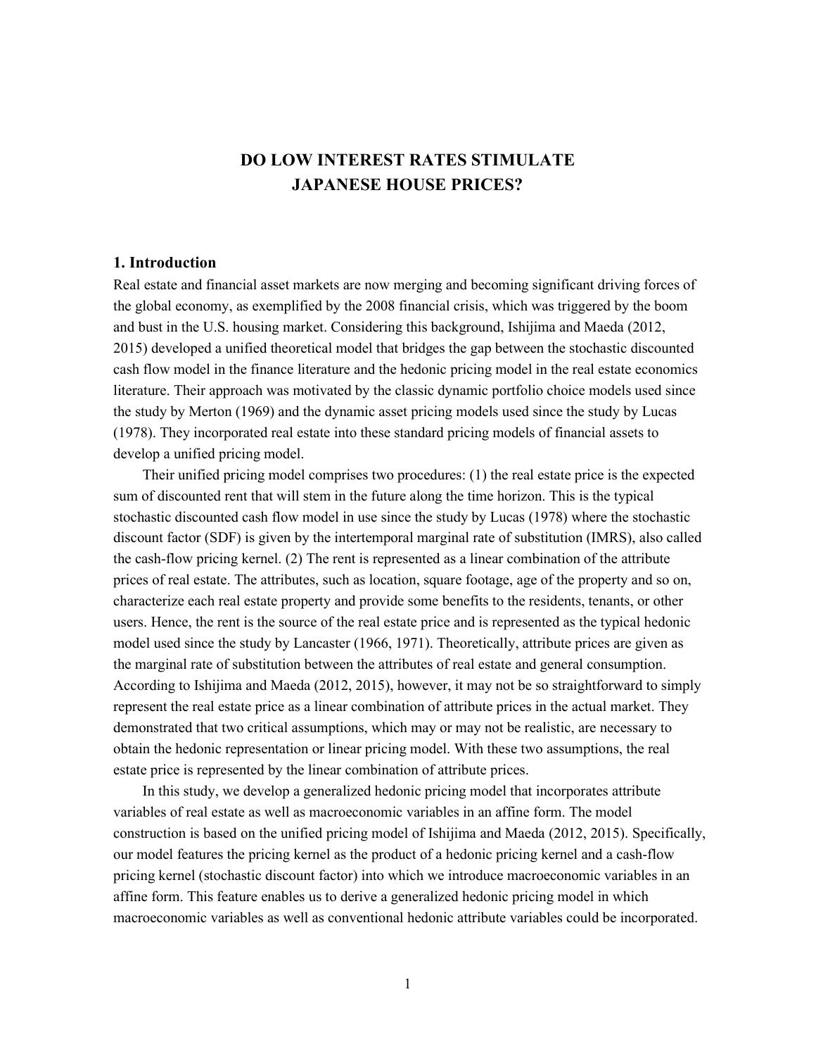# **DO LOW INTEREST RATES STIMULATE JAPANESE HOUSE PRICES?**

# **1. Introduction**

Real estate and financial asset markets are now merging and becoming significant driving forces of the global economy, as exemplified by the 2008 financial crisis, which was triggered by the boom and bust in the U.S. housing market. Considering this background, Ishijima and Maeda (2012, 2015) developed a unified theoretical model that bridges the gap between the stochastic discounted cash flow model in the finance literature and the hedonic pricing model in the real estate economics literature. Their approach was motivated by the classic dynamic portfolio choice models used since the study by Merton (1969) and the dynamic asset pricing models used since the study by Lucas (1978). They incorporated real estate into these standard pricing models of financial assets to develop a unified pricing model.

Their unified pricing model comprises two procedures: (1) the real estate price is the expected sum of discounted rent that will stem in the future along the time horizon. This is the typical stochastic discounted cash flow model in use since the study by Lucas (1978) where the stochastic discount factor (SDF) is given by the intertemporal marginal rate of substitution (IMRS), also called the cash-flow pricing kernel. (2) The rent is represented as a linear combination of the attribute prices of real estate. The attributes, such as location, square footage, age of the property and so on, characterize each real estate property and provide some benefits to the residents, tenants, or other users. Hence, the rent is the source of the real estate price and is represented as the typical hedonic model used since the study by Lancaster (1966, 1971). Theoretically, attribute prices are given as the marginal rate of substitution between the attributes of real estate and general consumption. According to Ishijima and Maeda (2012, 2015), however, it may not be so straightforward to simply represent the real estate price as a linear combination of attribute prices in the actual market. They demonstrated that two critical assumptions, which may or may not be realistic, are necessary to obtain the hedonic representation or linear pricing model. With these two assumptions, the real estate price is represented by the linear combination of attribute prices.

In this study, we develop a generalized hedonic pricing model that incorporates attribute variables of real estate as well as macroeconomic variables in an affine form. The model construction is based on the unified pricing model of Ishijima and Maeda (2012, 2015). Specifically, our model features the pricing kernel as the product of a hedonic pricing kernel and a cash-flow pricing kernel (stochastic discount factor) into which we introduce macroeconomic variables in an affine form. This feature enables us to derive a generalized hedonic pricing model in which macroeconomic variables as well as conventional hedonic attribute variables could be incorporated.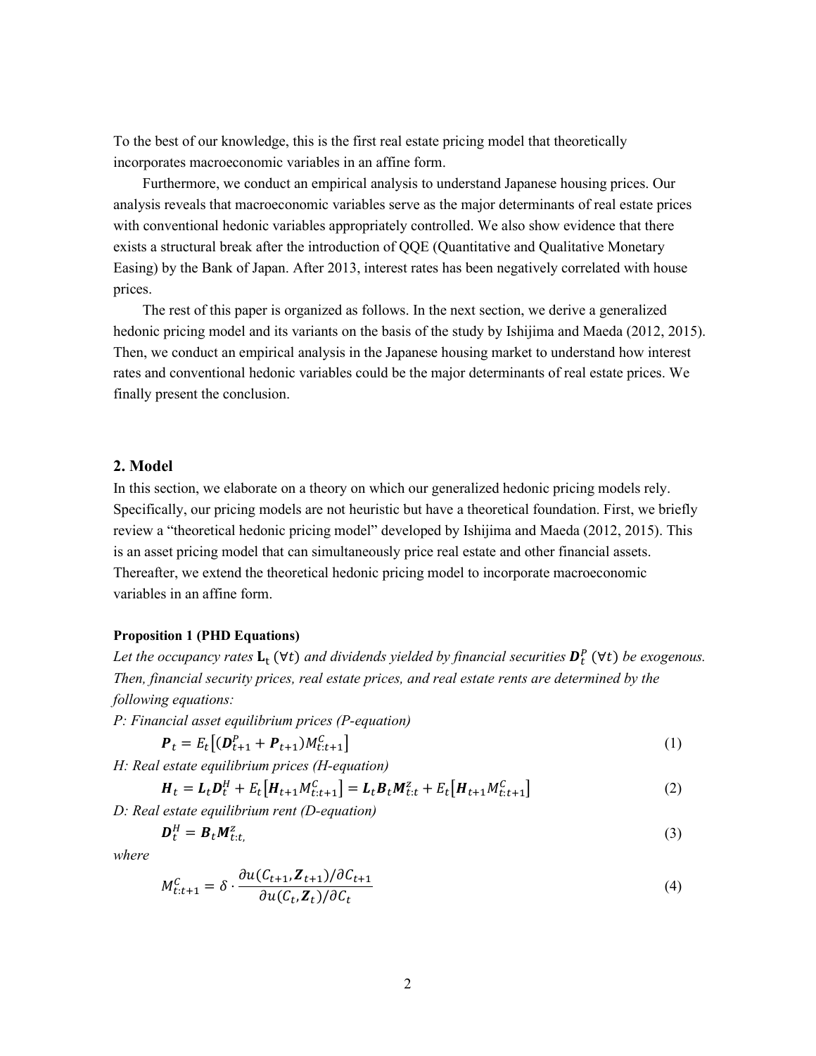To the best of our knowledge, this is the first real estate pricing model that theoretically incorporates macroeconomic variables in an affine form.

Furthermore, we conduct an empirical analysis to understand Japanese housing prices. Our analysis reveals that macroeconomic variables serve as the major determinants of real estate prices with conventional hedonic variables appropriately controlled. We also show evidence that there exists a structural break after the introduction of QQE (Quantitative and Qualitative Monetary Easing) by the Bank of Japan. After 2013, interest rates has been negatively correlated with house prices.

The rest of this paper is organized as follows. In the next section, we derive a generalized hedonic pricing model and its variants on the basis of the study by Ishijima and Maeda (2012, 2015). Then, we conduct an empirical analysis in the Japanese housing market to understand how interest rates and conventional hedonic variables could be the major determinants of real estate prices. We finally present the conclusion.

# **2. Model**

In this section, we elaborate on a theory on which our generalized hedonic pricing models rely. Specifically, our pricing models are not heuristic but have a theoretical foundation. First, we briefly review a "theoretical hedonic pricing model" developed by Ishijima and Maeda (2012, 2015). This is an asset pricing model that can simultaneously price real estate and other financial assets. Thereafter, we extend the theoretical hedonic pricing model to incorporate macroeconomic variables in an affine form.

#### <span id="page-3-0"></span>**Proposition 1 (PHD Equations)**

Let the occupancy rates  $L_t$  ( $\forall t$ ) and dividends yielded by financial securities  $D_t^P$  ( $\forall t$ ) be exogenous. *Then, financial security prices, real estate prices, and real estate rents are determined by the following equations:*

*P: Financial asset equilibrium prices (P-equation)*

$$
\boldsymbol{P}_t = E_t[(\boldsymbol{D}_{t+1}^P + \boldsymbol{P}_{t+1})M_{t:t+1}^C] \tag{1}
$$

*H: Real estate equilibrium prices (H-equation)*

$$
H_t = L_t D_t^H + E_t [H_{t+1} M_{t:t+1}^C] = L_t B_t M_{t:t}^Z + E_t [H_{t+1} M_{t:t+1}^C]
$$
\n(2)

*D: Real estate equilibrium rent (D-equation)*

$$
\boldsymbol{D}_t^H = \boldsymbol{B}_t \boldsymbol{M}_{t:t}^Z, \tag{3}
$$

*where*

$$
M_{t:t+1}^C = \delta \cdot \frac{\partial u(C_{t+1}, \mathbf{Z}_{t+1})/\partial C_{t+1}}{\partial u(C_t, \mathbf{Z}_t)/\partial C_t}
$$
\n
$$
\tag{4}
$$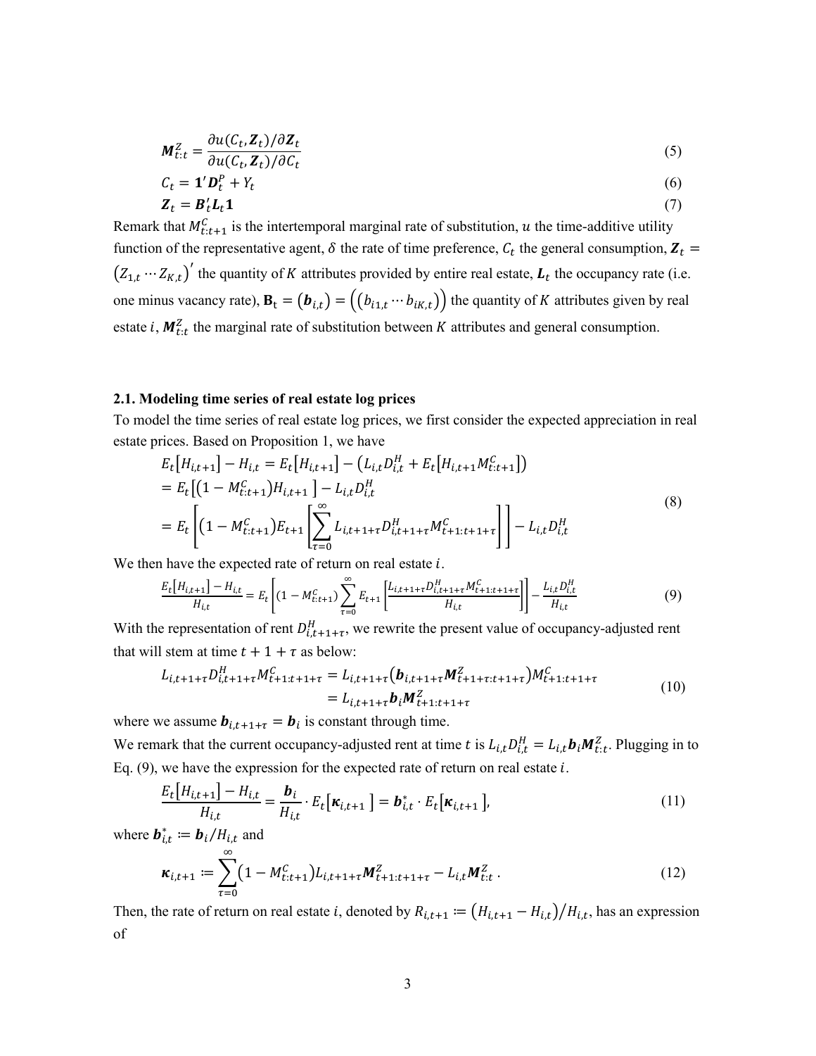$$
\mathbf{M}_{t:t}^Z = \frac{\partial u(C_t, \mathbf{Z}_t)/\partial \mathbf{Z}_t}{\partial u(C_t, \mathbf{Z}_t)/\partial C_t}
$$
(5)

$$
C_t = \mathbf{1}' \mathbf{D}_t^P + Y_t \tag{6}
$$

$$
\mathbf{Z}_t = \mathbf{B}_t' \mathbf{L}_t \mathbf{1} \tag{7}
$$

Remark that  $M_{t:t+1}^C$  is the intertemporal marginal rate of substitution, u the time-additive utility function of the representative agent,  $\delta$  the rate of time preference,  $C_t$  the general consumption,  $Z_t$  =  $(Z_{1,t} \cdots Z_{K,t})'$  the quantity of K attributes provided by entire real estate,  $L_t$  the occupancy rate (i.e. one minus vacancy rate),  $\mathbf{B}_t = (b_{i,t}) = ((b_{i1,t} \cdots b_{iK,t}))$  the quantity of K attributes given by real estate *i*,  $M_{t:t}^2$  the marginal rate of substitution between K attributes and general consumption.

#### **2.1. Modeling time series of real estate log prices**

To model the time series of real estate log prices, we first consider the expected appreciation in real estate prices. Based on [Proposition 1,](#page-3-0) we have

$$
E_t[H_{i,t+1}] - H_{i,t} = E_t[H_{i,t+1}] - (L_{i,t}D_{i,t}^H + E_t[H_{i,t+1}M_{t:t+1}^C])
$$
  
= 
$$
E_t[(1 - M_{t:t+1}^C)H_{i,t+1}] - L_{i,t}D_{i,t}^H
$$
  
= 
$$
E_t\left[ (1 - M_{t:t+1}^C)E_{t+1} \left[ \sum_{\tau=0}^{\infty} L_{i,t+1+\tau}D_{i,t+1+\tau}^H M_{t+1:t+1+\tau}^C \right] \right] - L_{i,t}D_{i,t}^H
$$
 (8)

We then have the expected rate of return on real estate  $i$ .

<span id="page-4-0"></span>
$$
\frac{E_t[H_{i,t+1}] - H_{i,t}}{H_{i,t}} = E_t \left[ (1 - M_{t:t+1}^C) \sum_{\tau=0}^{\infty} E_{t+1} \left[ \frac{L_{i,t+1+\tau} D_{i,t+1+\tau}^H M_{t+1:t+1+\tau}^C}{H_{i,t}} \right] \right] - \frac{L_{i,t} D_{i,t}^H}{H_{i,t}} \tag{9}
$$

With the representation of rent  $D_{i,t+1+\tau}^H$ , we rewrite the present value of occupancy-adjusted rent that will stem at time  $t + 1 + \tau$  as below:

$$
L_{i,t+1+\tau}D_{i,t+1+\tau}^H M_{t+1:t+1+\tau}^C = L_{i,t+1+\tau}(\boldsymbol{b}_{i,t+1+\tau}M_{t+1+\tau:t+1+\tau}^Z)M_{t+1:t+1+\tau}^C
$$
  
=  $L_{i,t+1+\tau}\boldsymbol{b}_iM_{t+1:t+1+\tau}^Z$  (10)

where we assume  $b_{i,t+1+\tau} = b_i$  is constant through time.

We remark that the current occupancy-adjusted rent at time t is  $L_{i,t}D_{i,t}^H = L_{i,t}b_iM_{t,t}^Z$ . Plugging in to Eq.  $(9)$ , we have the expression for the expected rate of return on real estate  $i$ .

$$
\frac{E_t[H_{i,t+1}] - H_{i,t}}{H_{i,t}} = \frac{\boldsymbol{b}_i}{H_{i,t}} \cdot E_t[\boldsymbol{\kappa}_{i,t+1}] = \boldsymbol{b}_{i,t}^* \cdot E_t[\boldsymbol{\kappa}_{i,t+1}],
$$
\n(11)

where  $\mathbf{b}_{i,t}^* \coloneqq \mathbf{b}_i / H_{i,t}$  and

<span id="page-4-1"></span>
$$
\kappa_{i,t+1} := \sum_{\tau=0}^{\infty} \left(1 - M_{t:t+1}^C\right) L_{i,t+1+\tau} M_{t+1:t+1+\tau}^Z - L_{i,t} M_{t:t}^Z.
$$
\n(12)

Then, the rate of return on real estate *i*, denoted by  $R_{i,t+1} := (H_{i,t+1} - H_{i,t})/H_{i,t}$ , has an expression of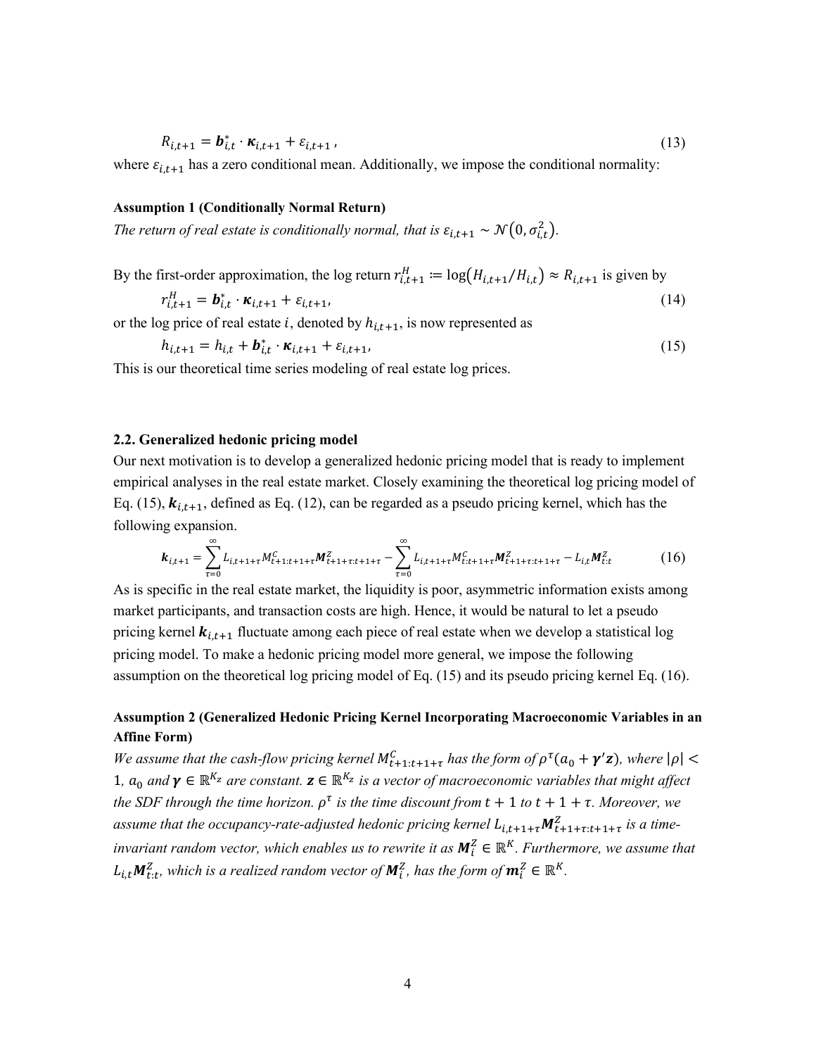$$
R_{i,t+1} = \boldsymbol{b}_{i,t}^* \cdot \boldsymbol{\kappa}_{i,t+1} + \varepsilon_{i,t+1} \,, \tag{13}
$$

where  $\varepsilon_{i,t+1}$  has a zero conditional mean. Additionally, we impose the conditional normality:

#### **Assumption 1 (Conditionally Normal Return)**

The return of real estate is conditionally normal, that is  $\varepsilon_{i,t+1} \sim \mathcal{N}\big(0,\sigma_{i,t}^2\big)$ .

By the first-order approximation, the log return  $r_{i,t+1}^H := \log(H_{i,t+1}/H_{i,t}) \approx R_{i,t+1}$  is given by

$$
r_{i,t+1}^H = \boldsymbol{b}_{i,t}^* \cdot \boldsymbol{\kappa}_{i,t+1} + \varepsilon_{i,t+1},
$$
\n(14)

or the log price of real estate *i*, denoted by  $h_{i,t+1}$ , is now represented as

<span id="page-5-0"></span>
$$
h_{i,t+1} = h_{i,t} + \boldsymbol{b}_{i,t}^* \cdot \boldsymbol{\kappa}_{i,t+1} + \varepsilon_{i,t+1},
$$
\n(15)

This is our theoretical time series modeling of real estate log prices.

#### **2.2. Generalized hedonic pricing model**

Our next motivation is to develop a generalized hedonic pricing model that is ready to implement empirical analyses in the real estate market. Closely examining the theoretical log pricing model of Eq. [\(15\),](#page-5-0)  $k_{i,t+1}$ , defined as Eq. [\(12\),](#page-4-1) can be regarded as a pseudo pricing kernel, which has the following expansion.

<span id="page-5-1"></span>
$$
\boldsymbol{k}_{i,t+1} = \sum_{\tau=0}^{\infty} L_{i,t+1+\tau} M_{t+1:t+1+\tau}^{C} \boldsymbol{M}_{t+1+\tau:t+1+\tau}^{Z} - \sum_{\tau=0}^{\infty} L_{i,t+1+\tau} M_{t:t+1+\tau}^{C} \boldsymbol{M}_{t+1+\tau:t+1+\tau}^{Z} - L_{i,t} M_{t:t}^{Z}
$$
(16)

As is specific in the real estate market, the liquidity is poor, asymmetric information exists among market participants, and transaction costs are high. Hence, it would be natural to let a pseudo pricing kernel  $k_{i,t+1}$  fluctuate among each piece of real estate when we develop a statistical log pricing model. To make a hedonic pricing model more general, we impose the following assumption on the theoretical log pricing model of Eq[. \(15\)](#page-5-0) and its pseudo pricing kernel Eq. [\(16\).](#page-5-1)

# <span id="page-5-2"></span>**Assumption 2 (Generalized Hedonic Pricing Kernel Incorporating Macroeconomic Variables in an Affine Form)**

*We assume that the cash-flow pricing kernel*  $M_{t+1:t+1+\tau}^C$  *has the form of*  $\rho^{\tau}(a_0 + \gamma'z)$ *, where*  $|\rho|$  < 1,  $a_0$  and  $\gamma \in \mathbb{R}^{K_z}$  are constant.  $\mathbf{z} \in \mathbb{R}^{K_z}$  is a vector of macroeconomic variables that might affect *the SDF through the time horizon.*  $\rho^{\tau}$  *is the time discount from t* + 1 *to t* + 1 +  $\tau$ *. Moreover, we* assume that the occupancy-rate-adjusted hedonic pricing kernel  $L_{i,t+1+\tau}M_{t+1+\tau,i+1+\tau}^{Z}$  is a time*invariant random vector, which enables us to rewrite it as*  $M_i^2 \in \mathbb{R}^K$ . *Furthermore, we assume that*  $L_{i,t} \mathbf{M}_{t:t}^Z$ , which is a realized random vector of  $\mathbf{M}_i^Z$ , has the form of  $\mathbf{m}_i^Z \in \mathbb{R}^K$ .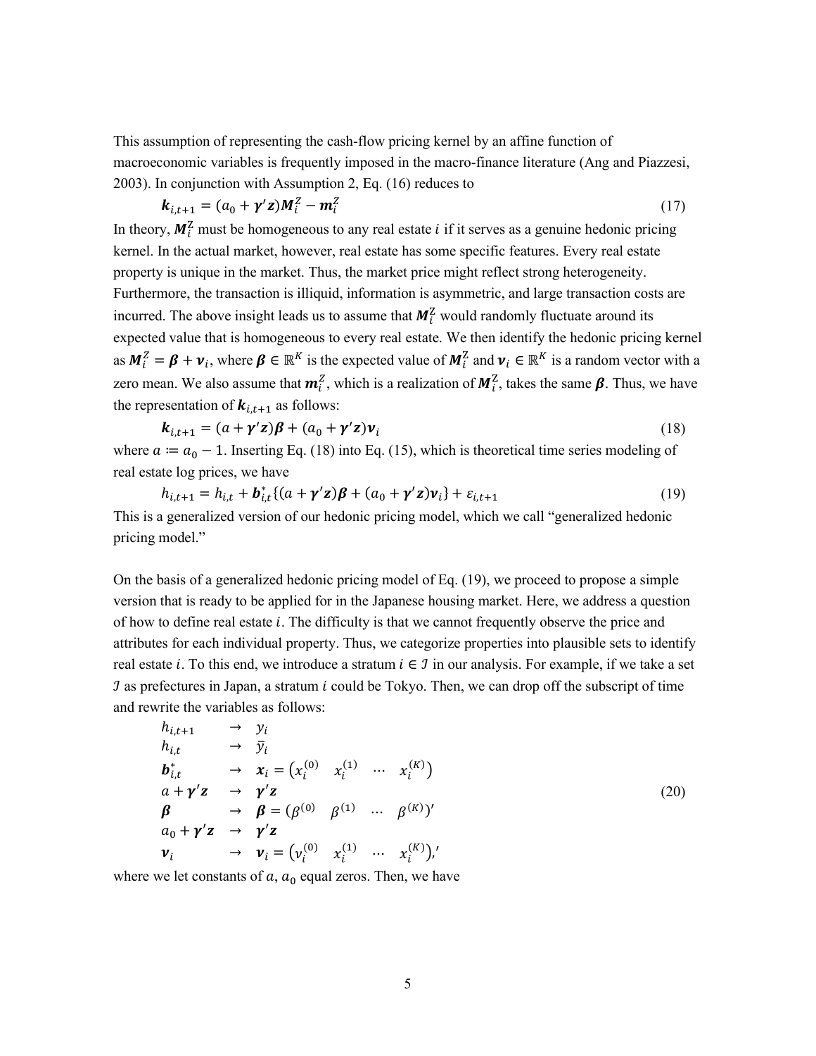This assumption of representing the cash-flow pricing kernel by an affine function of macroeconomic variables is frequently imposed in the macro-finance literature (Ang and Piazzesi, 2003). In conjunction with [Assumption 2,](#page-5-2) Eq. [\(16\)](#page-5-1) reduces to

$$
\boldsymbol{k}_{i,t+1} = (a_0 + \boldsymbol{\gamma}' \mathbf{z}) \boldsymbol{M}_i^Z - \boldsymbol{m}_i^Z \tag{17}
$$

In theory,  $M_i^2$  must be homogeneous to any real estate *i* if it serves as a genuine hedonic pricing kernel. In the actual market, however, real estate has some specific features. Every real estate property is unique in the market. Thus, the market price might reflect strong heterogeneity. Furthermore, the transaction is illiquid, information is asymmetric, and large transaction costs are incurred. The above insight leads us to assume that  $M_i^2$  would randomly fluctuate around its expected value that is homogeneous to every real estate. We then identify the hedonic pricing kernel as  $M_i^2 = \beta + \nu_i$ , where  $\beta \in \mathbb{R}^K$  is the expected value of  $M_i^2$  and  $\nu_i \in \mathbb{R}^K$  is a random vector with a zero mean. We also assume that  $m_i^2$ , which is a realization of  $M_i^2$ , takes the same  $\beta$ . Thus, we have the representation of  $k_{i,t+1}$  as follows:

<span id="page-6-0"></span>
$$
\mathbf{k}_{i,t+1} = (a + \gamma' \mathbf{z})\boldsymbol{\beta} + (a_0 + \gamma' \mathbf{z})\mathbf{v}_i
$$
\n(18)

where  $a := a_0 - 1$ . Inserting Eq. [\(18\)](#page-6-0) into Eq. [\(15\),](#page-5-0) which is theoretical time series modeling of real estate log prices, we have

<span id="page-6-1"></span>
$$
h_{i,t+1} = h_{i,t} + \boldsymbol{b}_{i,t}^* \{ (a + \boldsymbol{\gamma}' \boldsymbol{z}) \boldsymbol{\beta} + (a_0 + \boldsymbol{\gamma}' \boldsymbol{z}) \boldsymbol{v}_i \} + \varepsilon_{i,t+1}
$$
(19)

This is a generalized version of our hedonic pricing model, which we call "generalized hedonic pricing model."

On the basis of a generalized hedonic pricing model of Eq. [\(19\),](#page-6-1) we proceed to propose a simple version that is ready to be applied for in the Japanese housing market. Here, we address a question of how to define real estate *i*. The difficulty is that we cannot frequently observe the price and attributes for each individual property. Thus, we categorize properties into plausible sets to identify real estate *i*. To this end, we introduce a stratum  $i \in \mathcal{I}$  in our analysis. For example, if we take a set  $\hat{J}$  as prefectures in Japan, a stratum i could be Tokyo. Then, we can drop off the subscript of time and rewrite the variables as follows:

$$
h_{i,t+1} \rightarrow y_i
$$
  
\n
$$
h_{i,t} \rightarrow \bar{y}_i
$$
  
\n
$$
b_{i,t}^* \rightarrow x_i = (x_i^{(0)} \ x_i^{(1)} \cdots x_i^{(K)})
$$
  
\n
$$
a + \gamma'z \rightarrow \gamma'z
$$
  
\n
$$
\beta \rightarrow \beta = (\beta^{(0)} \ \beta^{(1)} \cdots \beta^{(K)})'
$$
  
\n
$$
a_0 + \gamma'z \rightarrow \gamma'z
$$
  
\n
$$
v_i \rightarrow v_i = (v_i^{(0)} \ x_i^{(1)} \cdots x_i^{(K)})'
$$
\n(20)

where we let constants of  $a$ ,  $a_0$  equal zeros. Then, we have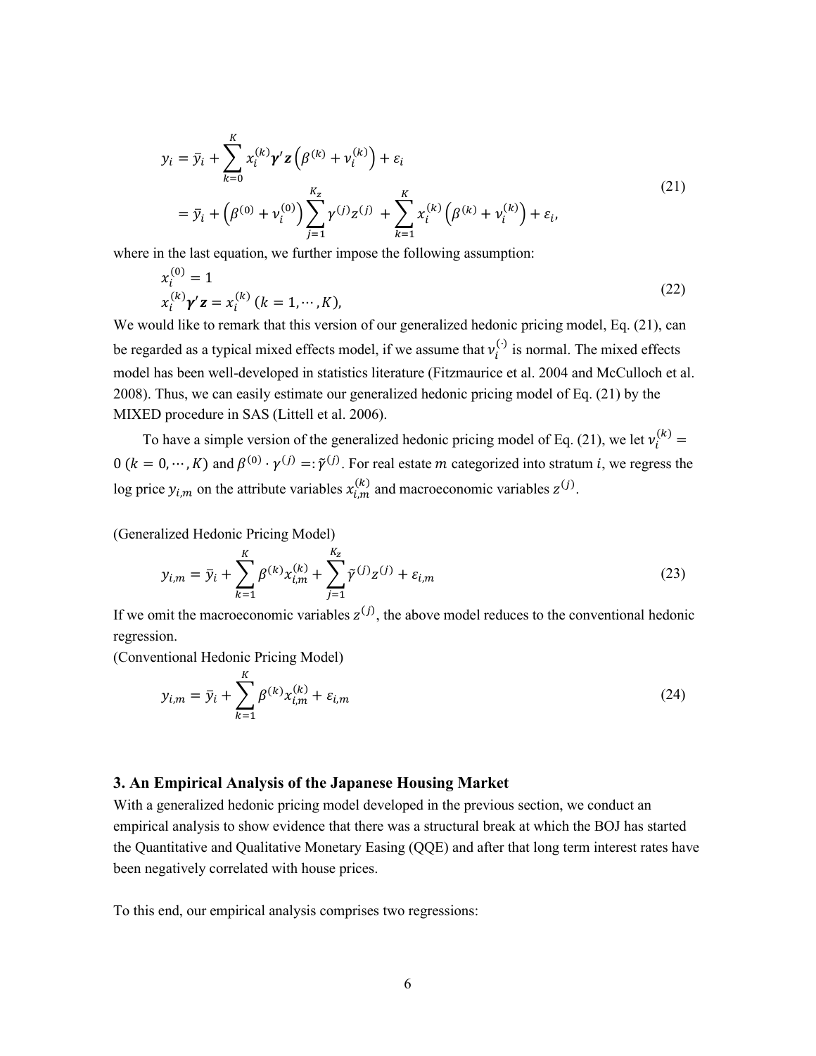<span id="page-7-0"></span>
$$
y_i = \bar{y}_i + \sum_{k=0}^{K} x_i^{(k)} \gamma' \mathbf{z} \left( \beta^{(k)} + v_i^{(k)} \right) + \varepsilon_i
$$
  
=  $\bar{y}_i + \left( \beta^{(0)} + v_i^{(0)} \right) \sum_{j=1}^{K_z} \gamma^{(j)} z^{(j)} + \sum_{k=1}^{K} x_i^{(k)} \left( \beta^{(k)} + v_i^{(k)} \right) + \varepsilon_i,$  (21)

where in the last equation, we further impose the following assumption:

$$
x_i^{(0)} = 1
$$
  
\n
$$
x_i^{(k)} \gamma' \mathbf{z} = x_i^{(k)} (k = 1, \cdots, K),
$$
\n(22)

We would like to remark that this version of our generalized hedonic pricing model, Eq[. \(21\),](#page-7-0) can be regarded as a typical mixed effects model, if we assume that  $v_i^{(.)}$  is normal. The mixed effects model has been well-developed in statistics literature (Fitzmaurice et al. 2004 and McCulloch et al. 2008). Thus, we can easily estimate our generalized hedonic pricing model of Eq. [\(21\)](#page-7-0) by the MIXED procedure in SAS (Littell et al. 2006).

To have a simple version of the generalized hedonic pricing model of Eq. [\(21\),](#page-7-0) we let  $v_i^{(k)} =$  $0$   $(k = 0, ..., K)$  and  $\beta^{(0)} \cdot \gamma^{(j)} = \tilde{\gamma}^{(j)}$ . For real estate *m* categorized into stratum *i*, we regress the log price  $y_{i,m}$  on the attribute variables  $x_{i,m}^{(k)}$  and macroeconomic variables  $z^{(j)}$ .

(Generalized Hedonic Pricing Model)

$$
y_{i,m} = \bar{y}_i + \sum_{k=1}^{K} \beta^{(k)} x_{i,m}^{(k)} + \sum_{j=1}^{K_z} \tilde{\gamma}^{(j)} z^{(j)} + \varepsilon_{i,m}
$$
 (23)

If we omit the macroeconomic variables  $z^{(j)}$ , the above model reduces to the conventional hedonic regression.

(Conventional Hedonic Pricing Model)

<span id="page-7-1"></span>
$$
y_{i,m} = \bar{y}_i + \sum_{k=1}^{K} \beta^{(k)} x_{i,m}^{(k)} + \varepsilon_{i,m}
$$
 (24)

#### **3. An Empirical Analysis of the Japanese Housing Market**

With a generalized hedonic pricing model developed in the previous section, we conduct an empirical analysis to show evidence that there was a structural break at which the BOJ has started the Quantitative and Qualitative Monetary Easing (QQE) and after that long term interest rates have been negatively correlated with house prices.

To this end, our empirical analysis comprises two regressions: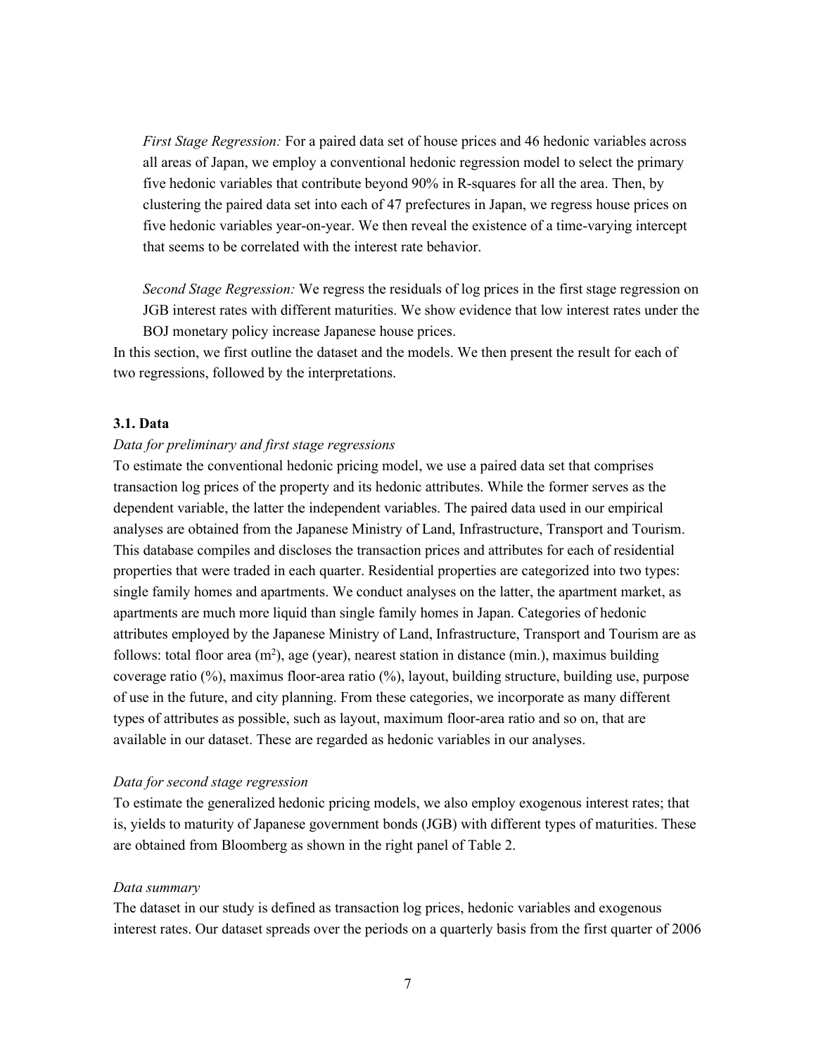*First Stage Regression:* For a paired data set of house prices and 46 hedonic variables across all areas of Japan, we employ a conventional hedonic regression model to select the primary five hedonic variables that contribute beyond 90% in R-squares for all the area. Then, by clustering the paired data set into each of 47 prefectures in Japan, we regress house prices on five hedonic variables year-on-year. We then reveal the existence of a time-varying intercept that seems to be correlated with the interest rate behavior.

*Second Stage Regression:* We regress the residuals of log prices in the first stage regression on JGB interest rates with different maturities. We show evidence that low interest rates under the BOJ monetary policy increase Japanese house prices.

In this section, we first outline the dataset and the models. We then present the result for each of two regressions, followed by the interpretations.

#### **3.1. Data**

#### *Data for preliminary and first stage regressions*

To estimate the conventional hedonic pricing model, we use a paired data set that comprises transaction log prices of the property and its hedonic attributes. While the former serves as the dependent variable, the latter the independent variables. The paired data used in our empirical analyses are obtained from the Japanese Ministry of Land, Infrastructure, Transport and Tourism. This database compiles and discloses the transaction prices and attributes for each of residential properties that were traded in each quarter. Residential properties are categorized into two types: single family homes and apartments. We conduct analyses on the latter, the apartment market, as apartments are much more liquid than single family homes in Japan. Categories of hedonic attributes employed by the Japanese Ministry of Land, Infrastructure, Transport and Tourism are as follows: total floor area  $(m^2)$ , age (year), nearest station in distance (min.), maximus building coverage ratio (%), maximus floor-area ratio (%), layout, building structure, building use, purpose of use in the future, and city planning. From these categories, we incorporate as many different types of attributes as possible, such as layout, maximum floor-area ratio and so on, that are available in our dataset. These are regarded as hedonic variables in our analyses.

#### *Data for second stage regression*

To estimate the generalized hedonic pricing models, we also employ exogenous interest rates; that is, yields to maturity of Japanese government bonds (JGB) with different types of maturities. These are obtained from Bloomberg as shown in the right panel of [Table 2.](#page-14-0)

#### *Data summary*

The dataset in our study is defined as transaction log prices, hedonic variables and exogenous interest rates. Our dataset spreads over the periods on a quarterly basis from the first quarter of 2006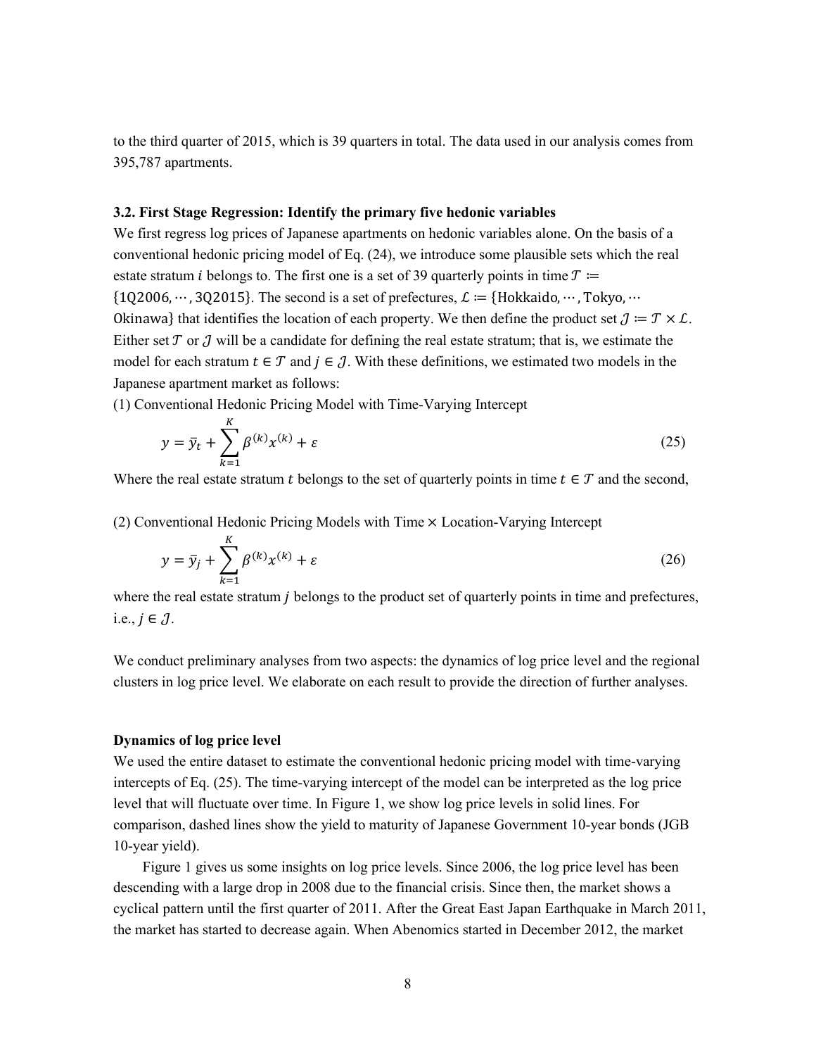to the third quarter of 2015, which is 39 quarters in total. The data used in our analysis comes from 395,787 apartments.

# **3.2. First Stage Regression: Identify the primary five hedonic variables**

We first regress log prices of Japanese apartments on hedonic variables alone. On the basis of a conventional hedonic pricing model of Eq. [\(24\),](#page-7-1) we introduce some plausible sets which the real estate stratum *i* belongs to. The first one is a set of 39 quarterly points in time  $T \coloneqq$  ${10,2006, \dots, 30,2015}$ . The second is a set of prefectures,  $\mathcal{L} := \{Hokkaido, \dots, Tokyo, \dots\}$ Okinawa} that identifies the location of each property. We then define the product set  $\mathcal{J} = \mathcal{T} \times \mathcal{L}$ . Either set  $T$  or  $T$  will be a candidate for defining the real estate stratum; that is, we estimate the model for each stratum  $t \in \mathcal{T}$  and  $j \in \mathcal{J}$ . With these definitions, we estimated two models in the Japanese apartment market as follows:

(1) Conventional Hedonic Pricing Model with Time-Varying Intercept

<span id="page-9-0"></span>
$$
y = \bar{y}_t + \sum_{k=1}^{K} \beta^{(k)} x^{(k)} + \varepsilon
$$
\n(25)

Where the real estate stratum t belongs to the set of quarterly points in time  $t \in \mathcal{T}$  and the second,

(2) Conventional Hedonic Pricing Models with Time × Location-Varying Intercept

$$
y = \bar{y}_j + \sum_{k=1}^{K} \beta^{(k)} x^{(k)} + \varepsilon
$$
\n(26)

where the real estate stratum  $\dot{\jmath}$  belongs to the product set of quarterly points in time and prefectures, i.e.,  $j \in \mathcal{J}$ .

We conduct preliminary analyses from two aspects: the dynamics of log price level and the regional clusters in log price level. We elaborate on each result to provide the direction of further analyses.

# **Dynamics of log price level**

We used the entire dataset to estimate the conventional hedonic pricing model with time-varying intercepts of Eq. [\(25\).](#page-9-0) The time-varying intercept of the model can be interpreted as the log price level that will fluctuate over time. In [Figure 1,](#page-12-0) we show log price levels in solid lines. For comparison, dashed lines show the yield to maturity of Japanese Government 10-year bonds (JGB 10-year yield).

[Figure 1](#page-12-0) gives us some insights on log price levels. Since 2006, the log price level has been descending with a large drop in 2008 due to the financial crisis. Since then, the market shows a cyclical pattern until the first quarter of 2011. After the Great East Japan Earthquake in March 2011, the market has started to decrease again. When Abenomics started in December 2012, the market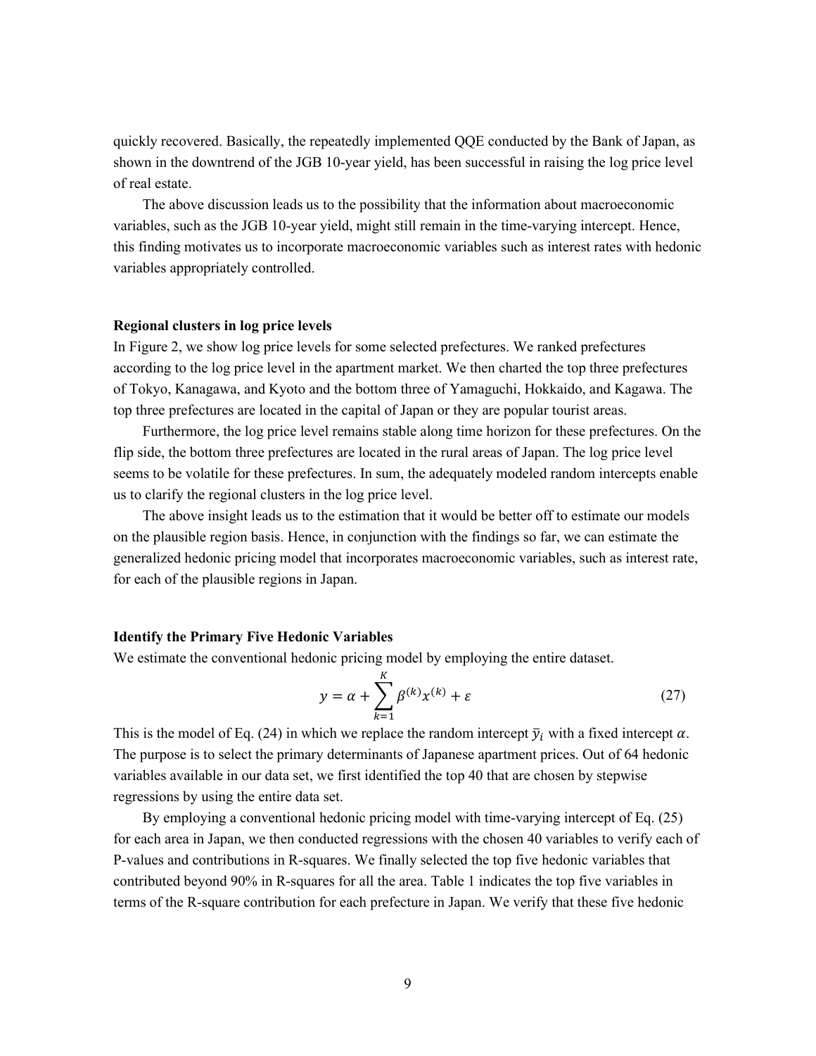quickly recovered. Basically, the repeatedly implemented QQE conducted by the Bank of Japan, as shown in the downtrend of the JGB 10-year yield, has been successful in raising the log price level of real estate.

The above discussion leads us to the possibility that the information about macroeconomic variables, such as the JGB 10-year yield, might still remain in the time-varying intercept. Hence, this finding motivates us to incorporate macroeconomic variables such as interest rates with hedonic variables appropriately controlled.

#### **Regional clusters in log price levels**

In [Figure 2,](#page-12-1) we show log price levels for some selected prefectures. We ranked prefectures according to the log price level in the apartment market. We then charted the top three prefectures of Tokyo, Kanagawa, and Kyoto and the bottom three of Yamaguchi, Hokkaido, and Kagawa. The top three prefectures are located in the capital of Japan or they are popular tourist areas.

Furthermore, the log price level remains stable along time horizon for these prefectures. On the flip side, the bottom three prefectures are located in the rural areas of Japan. The log price level seems to be volatile for these prefectures. In sum, the adequately modeled random intercepts enable us to clarify the regional clusters in the log price level.

The above insight leads us to the estimation that it would be better off to estimate our models on the plausible region basis. Hence, in conjunction with the findings so far, we can estimate the generalized hedonic pricing model that incorporates macroeconomic variables, such as interest rate, for each of the plausible regions in Japan.

#### **Identify the Primary Five Hedonic Variables**

We estimate the conventional hedonic pricing model by employing the entire dataset.

$$
y = \alpha + \sum_{k=1}^{K} \beta^{(k)} x^{(k)} + \varepsilon
$$
 (27)

This is the model of Eq. [\(24\)](#page-7-1) in which we replace the random intercept  $\bar{y}_i$  with a fixed intercept  $\alpha$ . The purpose is to select the primary determinants of Japanese apartment prices. Out of 64 hedonic variables available in our data set, we first identified the top 40 that are chosen by stepwise regressions by using the entire data set.

By employing a conventional hedonic pricing model with time-varying intercept of Eq. [\(25\)](#page-9-0) for each area in Japan, we then conducted regressions with the chosen 40 variables to verify each of P-values and contributions in R-squares. We finally selected the top five hedonic variables that contributed beyond 90% in R-squares for all the area. [Table 1](#page-13-0) indicates the top five variables in terms of the R-square contribution for each prefecture in Japan. We verify that these five hedonic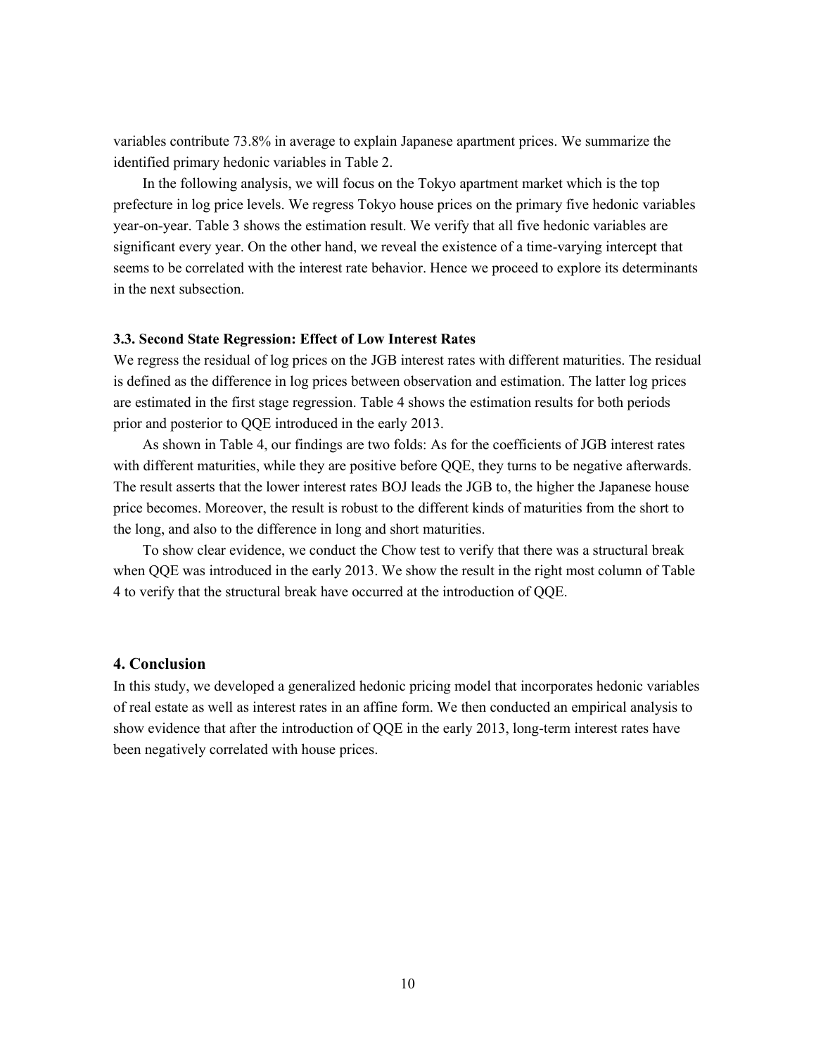variables contribute 73.8% in average to explain Japanese apartment prices. We summarize the identified primary hedonic variables in [Table 2.](#page-14-0)

In the following analysis, we will focus on the Tokyo apartment market which is the top prefecture in log price levels. We regress Tokyo house prices on the primary five hedonic variables year-on-year[. Table 3](#page-14-1) shows the estimation result. We verify that all five hedonic variables are significant every year. On the other hand, we reveal the existence of a time-varying intercept that seems to be correlated with the interest rate behavior. Hence we proceed to explore its determinants in the next subsection.

# **3.3. Second State Regression: Effect of Low Interest Rates**

We regress the residual of log prices on the JGB interest rates with different maturities. The residual is defined as the difference in log prices between observation and estimation. The latter log prices are estimated in the first stage regression. [Table 4](#page-15-0) shows the estimation results for both periods prior and posterior to QQE introduced in the early 2013.

As shown in [Table 4,](#page-15-0) our findings are two folds: As for the coefficients of JGB interest rates with different maturities, while they are positive before QQE, they turns to be negative afterwards. The result asserts that the lower interest rates BOJ leads the JGB to, the higher the Japanese house price becomes. Moreover, the result is robust to the different kinds of maturities from the short to the long, and also to the difference in long and short maturities.

To show clear evidence, we conduct the Chow test to verify that there was a structural break when QQE was introduced in the early 2013. We show the result in the right most column of [Table](#page-15-0)  [4](#page-15-0) to verify that the structural break have occurred at the introduction of QQE.

### **4. Conclusion**

In this study, we developed a generalized hedonic pricing model that incorporates hedonic variables of real estate as well as interest rates in an affine form. We then conducted an empirical analysis to show evidence that after the introduction of QQE in the early 2013, long-term interest rates have been negatively correlated with house prices.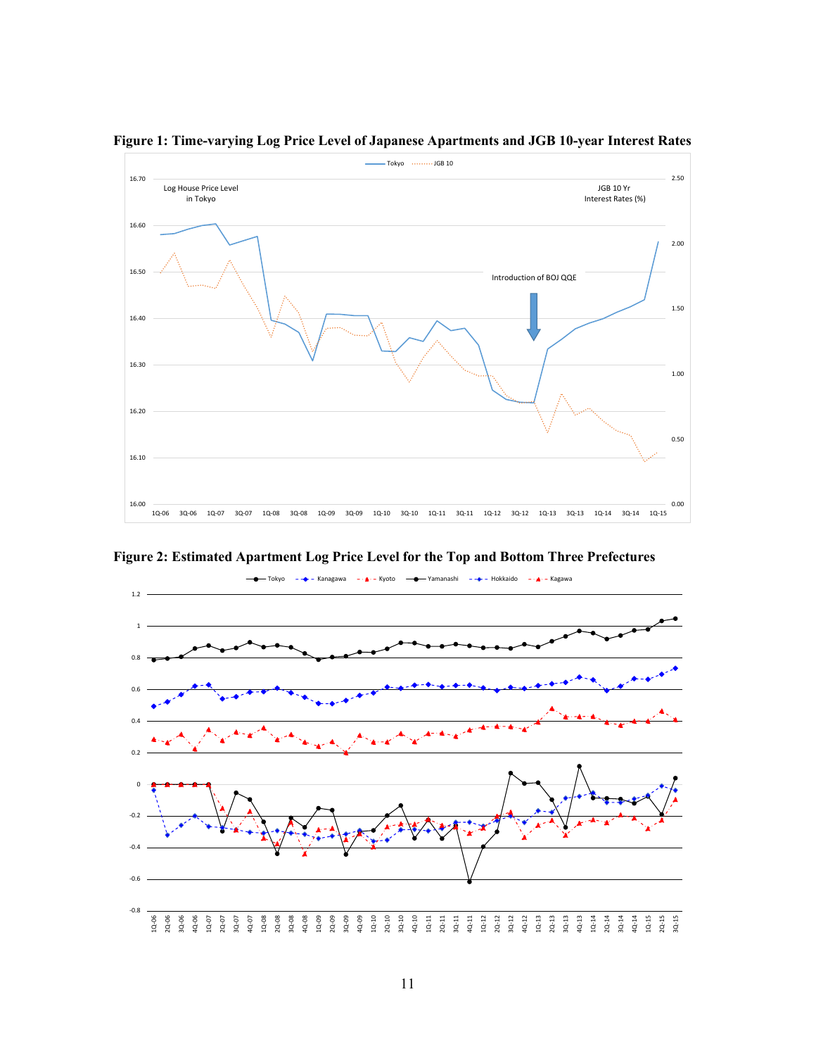

<span id="page-12-0"></span>**Figure 1: Time-varying Log Price Level of Japanese Apartments and JGB 10-year Interest Rates**

<span id="page-12-1"></span>**Figure 2: Estimated Apartment Log Price Level for the Top and Bottom Three Prefectures**

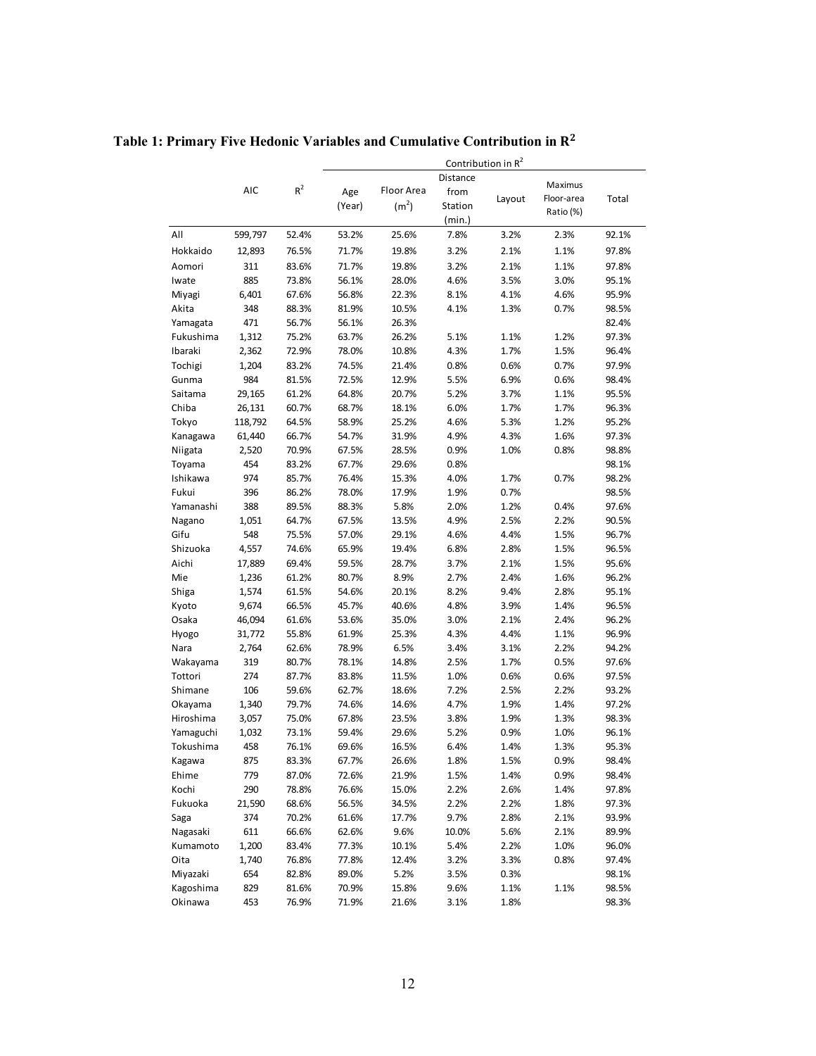<span id="page-13-0"></span>**Table 1: Primary Five Hedonic Variables and Cumulative Contribution in** 

|           |         |           | Contribution in R <sup>2</sup> |                   |          |        |                         |       |  |
|-----------|---------|-----------|--------------------------------|-------------------|----------|--------|-------------------------|-------|--|
|           |         |           |                                |                   | Distance |        |                         |       |  |
|           | AIC     | $\rm R^2$ | Age                            | Floor Area        | from     |        | Maximus                 |       |  |
|           |         |           | (Year)                         | (m <sup>2</sup> ) | Station  | Layout | Floor-area<br>Ratio (%) | Total |  |
|           |         |           |                                |                   | (min.)   |        |                         |       |  |
| All       | 599,797 | 52.4%     | 53.2%                          | 25.6%             | 7.8%     | 3.2%   | 2.3%                    | 92.1% |  |
| Hokkaido  | 12,893  | 76.5%     | 71.7%                          | 19.8%             | 3.2%     | 2.1%   | 1.1%                    | 97.8% |  |
| Aomori    | 311     | 83.6%     | 71.7%                          | 19.8%             | 3.2%     | 2.1%   | 1.1%                    | 97.8% |  |
| Iwate     | 885     | 73.8%     | 56.1%                          | 28.0%             | 4.6%     | 3.5%   | 3.0%                    | 95.1% |  |
| Miyagi    | 6,401   | 67.6%     | 56.8%                          | 22.3%             | 8.1%     | 4.1%   | 4.6%                    | 95.9% |  |
| Akita     | 348     | 88.3%     | 81.9%                          | 10.5%             | 4.1%     | 1.3%   | 0.7%                    | 98.5% |  |
| Yamagata  | 471     | 56.7%     | 56.1%                          | 26.3%             |          |        |                         | 82.4% |  |
| Fukushima | 1,312   | 75.2%     | 63.7%                          | 26.2%             | 5.1%     | 1.1%   | 1.2%                    | 97.3% |  |
| Ibaraki   | 2,362   | 72.9%     | 78.0%                          | 10.8%             | 4.3%     | 1.7%   | 1.5%                    | 96.4% |  |
| Tochigi   | 1,204   | 83.2%     | 74.5%                          | 21.4%             | 0.8%     | 0.6%   | 0.7%                    | 97.9% |  |
| Gunma     | 984     | 81.5%     | 72.5%                          | 12.9%             | 5.5%     | 6.9%   | 0.6%                    | 98.4% |  |
| Saitama   | 29,165  | 61.2%     | 64.8%                          | 20.7%             | 5.2%     | 3.7%   | 1.1%                    | 95.5% |  |
| Chiba     | 26,131  | 60.7%     | 68.7%                          | 18.1%             | 6.0%     | 1.7%   | 1.7%                    | 96.3% |  |
| Tokyo     | 118,792 | 64.5%     | 58.9%                          | 25.2%             | 4.6%     | 5.3%   | 1.2%                    | 95.2% |  |
| Kanagawa  | 61,440  | 66.7%     | 54.7%                          | 31.9%             | 4.9%     | 4.3%   | 1.6%                    | 97.3% |  |
| Niigata   | 2,520   | 70.9%     | 67.5%                          | 28.5%             | 0.9%     | 1.0%   | 0.8%                    | 98.8% |  |
| Toyama    | 454     | 83.2%     | 67.7%                          | 29.6%             | 0.8%     |        |                         | 98.1% |  |
| Ishikawa  | 974     | 85.7%     | 76.4%                          | 15.3%             | 4.0%     | 1.7%   | 0.7%                    | 98.2% |  |
| Fukui     | 396     | 86.2%     | 78.0%                          | 17.9%             | 1.9%     | 0.7%   |                         | 98.5% |  |
| Yamanashi | 388     | 89.5%     | 88.3%                          | 5.8%              | 2.0%     | 1.2%   | 0.4%                    | 97.6% |  |
| Nagano    | 1,051   | 64.7%     | 67.5%                          | 13.5%             | 4.9%     | 2.5%   | 2.2%                    | 90.5% |  |
| Gifu      | 548     | 75.5%     | 57.0%                          | 29.1%             | 4.6%     | 4.4%   | 1.5%                    | 96.7% |  |
| Shizuoka  | 4,557   | 74.6%     | 65.9%                          | 19.4%             | 6.8%     | 2.8%   | 1.5%                    | 96.5% |  |
| Aichi     | 17,889  | 69.4%     | 59.5%                          | 28.7%             | 3.7%     | 2.1%   | 1.5%                    | 95.6% |  |
| Mie       | 1,236   | 61.2%     | 80.7%                          | 8.9%              | 2.7%     | 2.4%   | 1.6%                    | 96.2% |  |
| Shiga     | 1,574   | 61.5%     | 54.6%                          | 20.1%             | 8.2%     | 9.4%   | 2.8%                    | 95.1% |  |
| Kyoto     | 9,674   | 66.5%     | 45.7%                          | 40.6%             | 4.8%     | 3.9%   | 1.4%                    | 96.5% |  |
| Osaka     | 46,094  | 61.6%     | 53.6%                          | 35.0%             | 3.0%     | 2.1%   | 2.4%                    | 96.2% |  |
| Hyogo     | 31,772  | 55.8%     | 61.9%                          | 25.3%             | 4.3%     | 4.4%   | 1.1%                    | 96.9% |  |
| Nara      | 2,764   | 62.6%     | 78.9%                          | 6.5%              | 3.4%     | 3.1%   | 2.2%                    | 94.2% |  |
| Wakayama  | 319     | 80.7%     | 78.1%                          | 14.8%             | 2.5%     | 1.7%   | 0.5%                    | 97.6% |  |
| Tottori   | 274     | 87.7%     | 83.8%                          | 11.5%             | 1.0%     | 0.6%   | 0.6%                    | 97.5% |  |
| Shimane   | 106     | 59.6%     | 62.7%                          | 18.6%             | 7.2%     | 2.5%   | 2.2%                    | 93.2% |  |
| Okayama   | 1,340   | 79.7%     | 74.6%                          | 14.6%             | 4.7%     | 1.9%   | 1.4%                    | 97.2% |  |
| Hiroshima | 3,057   | 75.0%     | 67.8%                          | 23.5%             | 3.8%     | 1.9%   | 1.3%                    | 98.3% |  |
| Yamaguchi | 1,032   | 73.1%     | 59.4%                          | 29.6%             | 5.2%     | 0.9%   | 1.0%                    | 96.1% |  |
| Tokushima | 458     | 76.1%     | 69.6%                          | 16.5%             | 6.4%     | 1.4%   | 1.3%                    | 95.3% |  |
| Kagawa    | 875     | 83.3%     | 67.7%                          | 26.6%             | 1.8%     | 1.5%   | 0.9%                    | 98.4% |  |
| Ehime     | 779     | 87.0%     | 72.6%                          | 21.9%             | 1.5%     | 1.4%   | 0.9%                    | 98.4% |  |
| Kochi     | 290     | 78.8%     | 76.6%                          | 15.0%             | 2.2%     | 2.6%   | 1.4%                    | 97.8% |  |
| Fukuoka   | 21,590  | 68.6%     | 56.5%                          | 34.5%             | 2.2%     | 2.2%   | 1.8%                    | 97.3% |  |
| Saga      | 374     | 70.2%     | 61.6%                          | 17.7%             | 9.7%     | 2.8%   | 2.1%                    | 93.9% |  |
| Nagasaki  | 611     | 66.6%     | 62.6%                          | 9.6%              | 10.0%    | 5.6%   | 2.1%                    | 89.9% |  |
| Kumamoto  | 1,200   | 83.4%     | 77.3%                          | 10.1%             | 5.4%     | 2.2%   | 1.0%                    | 96.0% |  |
| Oita      | 1,740   | 76.8%     | 77.8%                          | 12.4%             | 3.2%     | 3.3%   | 0.8%                    | 97.4% |  |
| Miyazaki  | 654     | 82.8%     | 89.0%                          | 5.2%              | 3.5%     | 0.3%   |                         | 98.1% |  |
| Kagoshima | 829     | 81.6%     | 70.9%                          | 15.8%             | 9.6%     | 1.1%   | 1.1%                    | 98.5% |  |
| Okinawa   | 453     | 76.9%     | 71.9%                          | 21.6%             | 3.1%     | 1.8%   |                         | 98.3% |  |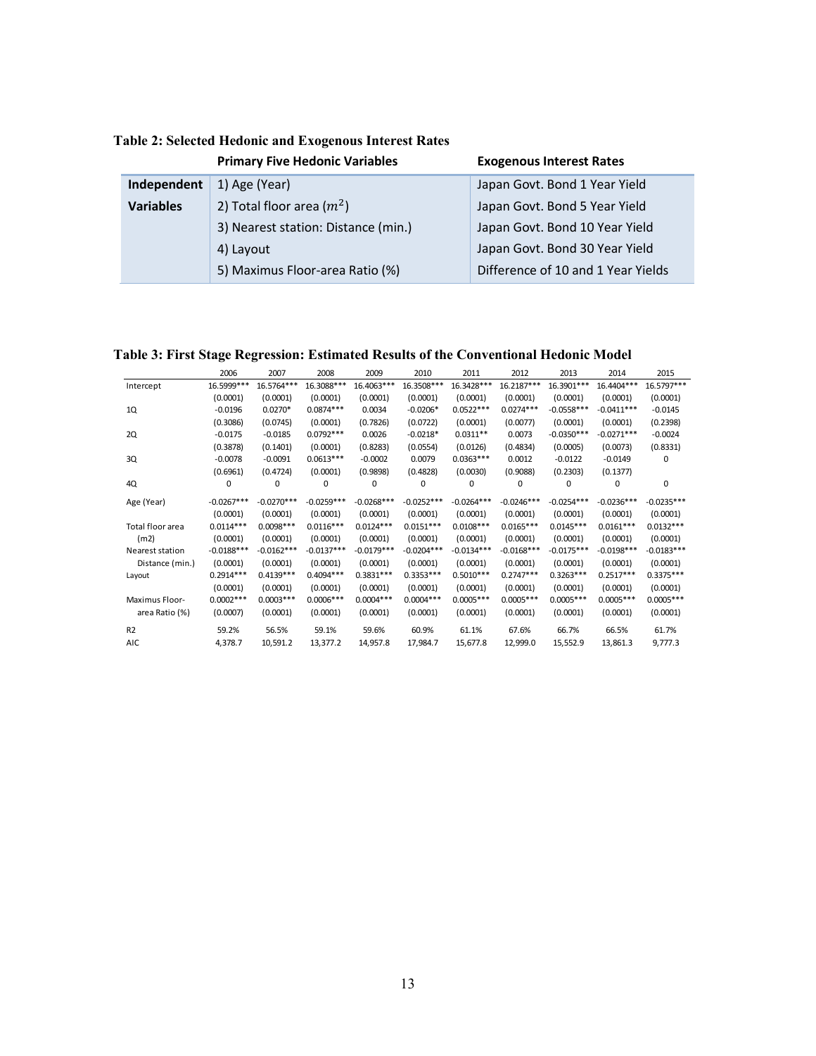|                  | <b>Primary Five Hedonic Variables</b> | <b>Exogenous Interest Rates</b>    |
|------------------|---------------------------------------|------------------------------------|
| Independent      | 1) Age (Year)                         | Japan Govt. Bond 1 Year Yield      |
| <b>Variables</b> | 2) Total floor area $(m^2)$           | Japan Govt. Bond 5 Year Yield      |
|                  | 3) Nearest station: Distance (min.)   | Japan Govt. Bond 10 Year Yield     |
|                  | 4) Layout                             | Japan Govt. Bond 30 Year Yield     |
|                  | 5) Maximus Floor-area Ratio (%)       | Difference of 10 and 1 Year Yields |

<span id="page-14-0"></span>**Table 2: Selected Hedonic and Exogenous Interest Rates**

<span id="page-14-1"></span>**Table 3: First Stage Regression: Estimated Results of the Conventional Hedonic Model**

|                  | 2006         | 2007         | 2008         | 2009         | 2010         | 2011         | 2012         | 2013         | 2014         | 2015         |
|------------------|--------------|--------------|--------------|--------------|--------------|--------------|--------------|--------------|--------------|--------------|
| Intercept        | 16.5999 ***  | 16.5764***   | 16.3088***   | 16.4063***   | 16.3508***   | 16.3428***   | 16.2187***   | 16.3901 ***  | 16.4404***   | 16.5797***   |
|                  | (0.0001)     | (0.0001)     | (0.0001)     | (0.0001)     | (0.0001)     | (0.0001)     | (0.0001)     | (0.0001)     | (0.0001)     | (0.0001)     |
| 1Q               | $-0.0196$    | $0.0270*$    | $0.0874***$  | 0.0034       | $-0.0206*$   | $0.0522***$  | $0.0274***$  | $-0.0558***$ | $-0.0411***$ | $-0.0145$    |
|                  | (0.3086)     | (0.0745)     | (0.0001)     | (0.7826)     | (0.0722)     | (0.0001)     | (0.0077)     | (0.0001)     | (0.0001)     | (0.2398)     |
| 2Q               | $-0.0175$    | $-0.0185$    | $0.0792***$  | 0.0026       | $-0.0218*$   | $0.0311**$   | 0.0073       | $-0.0350***$ | $-0.0271***$ | $-0.0024$    |
|                  | (0.3878)     | (0.1401)     | (0.0001)     | (0.8283)     | (0.0554)     | (0.0126)     | (0.4834)     | (0.0005)     | (0.0073)     | (0.8331)     |
| 3Q               | $-0.0078$    | $-0.0091$    | $0.0613***$  | $-0.0002$    | 0.0079       | $0.0363***$  | 0.0012       | $-0.0122$    | $-0.0149$    | 0            |
|                  | (0.6961)     | (0.4724)     | (0.0001)     | (0.9898)     | (0.4828)     | (0.0030)     | (0.9088)     | (0.2303)     | (0.1377)     |              |
| 4Q               | 0            | $\Omega$     | 0            | $\Omega$     | $\Omega$     | $\Omega$     | 0            | $\Omega$     | $\Omega$     | 0            |
| Age (Year)       | $-0.0267***$ | $-0.0270***$ | $-0.0259***$ | $-0.0268***$ | $-0.0252***$ | $-0.0264***$ | $-0.0246***$ | $-0.0254***$ | $-0.0236***$ | $-0.0235***$ |
|                  | (0.0001)     | (0.0001)     | (0.0001)     | (0.0001)     | (0.0001)     | (0.0001)     | (0.0001)     | (0.0001)     | (0.0001)     | (0.0001)     |
| Total floor area | $0.0114***$  | $0.0098***$  | $0.0116***$  | $0.0124***$  | $0.0151***$  | $0.0108***$  | $0.0165***$  | $0.0145***$  | $0.0161***$  | $0.0132***$  |
| (m2)             | (0.0001)     | (0.0001)     | (0.0001)     | (0.0001)     | (0.0001)     | (0.0001)     | (0.0001)     | (0.0001)     | (0.0001)     | (0.0001)     |
| Nearest station  | $-0.0188***$ | $-0.0162***$ | $-0.0137***$ | $-0.0179***$ | $-0.0204***$ | $-0.0134***$ | $-0.0168***$ | $-0.0175***$ | $-0.0198***$ | $-0.0183***$ |
| Distance (min.)  | (0.0001)     | (0.0001)     | (0.0001)     | (0.0001)     | (0.0001)     | (0.0001)     | (0.0001)     | (0.0001)     | (0.0001)     | (0.0001)     |
| Layout           | $0.2914***$  | $0.4139***$  | $0.4094***$  | $0.3831***$  | $0.3353***$  | $0.5010***$  | $0.2747***$  | $0.3263***$  | $0.2517***$  | $0.3375***$  |
|                  | (0.0001)     | (0.0001)     | (0.0001)     | (0.0001)     | (0.0001)     | (0.0001)     | (0.0001)     | (0.0001)     | (0.0001)     | (0.0001)     |
| Maximus Floor-   | $0.0002***$  | $0.0003***$  | $0.0006***$  | $0.0004***$  | $0.0004***$  | $0.0005***$  | $0.0005***$  | $0.0005***$  | $0.0005***$  | $0.0005***$  |
| area Ratio (%)   | (0.0007)     | (0.0001)     | (0.0001)     | (0.0001)     | (0.0001)     | (0.0001)     | (0.0001)     | (0.0001)     | (0.0001)     | (0.0001)     |
| R <sub>2</sub>   | 59.2%        | 56.5%        | 59.1%        | 59.6%        | 60.9%        | 61.1%        | 67.6%        | 66.7%        | 66.5%        | 61.7%        |
| AIC              | 4,378.7      | 10,591.2     | 13,377.2     | 14,957.8     | 17,984.7     | 15,677.8     | 12,999.0     | 15,552.9     | 13,861.3     | 9,777.3      |